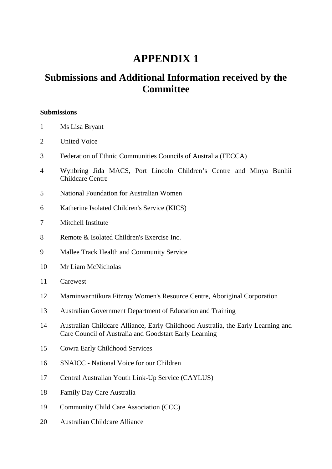# **APPENDIX 1**

## **Submissions and Additional Information received by the Committee**

### **Submissions**

- 1 Ms Lisa Bryant
- 2 United Voice
- 3 Federation of Ethnic Communities Councils of Australia (FECCA)
- 4 Wynbring Jida MACS, Port Lincoln Children's Centre and Minya Bunhii Childcare Centre
- 5 National Foundation for Australian Women
- 6 Katherine Isolated Children's Service (KICS)
- 7 Mitchell Institute
- 8 Remote & Isolated Children's Exercise Inc.
- 9 Mallee Track Health and Community Service
- 10 Mr Liam McNicholas
- 11 Carewest
- 12 Marninwarntikura Fitzroy Women's Resource Centre, Aboriginal Corporation
- 13 Australian Government Department of Education and Training
- 14 Australian Childcare Alliance, Early Childhood Australia, the Early Learning and Care Council of Australia and Goodstart Early Learning
- 15 Cowra Early Childhood Services
- 16 SNAICC National Voice for our Children
- 17 Central Australian Youth Link-Up Service (CAYLUS)
- 18 Family Day Care Australia
- 19 Community Child Care Association (CCC)
- 20 Australian Childcare Alliance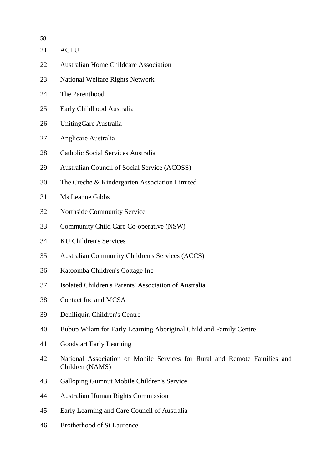58

| υo |                                                                                              |
|----|----------------------------------------------------------------------------------------------|
| 21 | <b>ACTU</b>                                                                                  |
| 22 | <b>Australian Home Childcare Association</b>                                                 |
| 23 | <b>National Welfare Rights Network</b>                                                       |
| 24 | The Parenthood                                                                               |
| 25 | Early Childhood Australia                                                                    |
| 26 | UnitingCare Australia                                                                        |
| 27 | Anglicare Australia                                                                          |
| 28 | Catholic Social Services Australia                                                           |
| 29 | Australian Council of Social Service (ACOSS)                                                 |
| 30 | The Creche & Kindergarten Association Limited                                                |
| 31 | Ms Leanne Gibbs                                                                              |
| 32 | Northside Community Service                                                                  |
| 33 | Community Child Care Co-operative (NSW)                                                      |
| 34 | <b>KU Children's Services</b>                                                                |
| 35 | <b>Australian Community Children's Services (ACCS)</b>                                       |
| 36 | Katoomba Children's Cottage Inc                                                              |
| 37 | Isolated Children's Parents' Association of Australia                                        |
| 38 | Contact Inc and MCSA                                                                         |
| 39 | Deniliquin Children's Centre                                                                 |
| 40 | Bubup Wilam for Early Learning Aboriginal Child and Family Centre                            |
| 41 | <b>Goodstart Early Learning</b>                                                              |
| 42 | National Association of Mobile Services for Rural and Remote Families and<br>Children (NAMS) |
| 43 | Galloping Gumnut Mobile Children's Service                                                   |
| 44 | <b>Australian Human Rights Commission</b>                                                    |
| 45 | Early Learning and Care Council of Australia                                                 |
|    |                                                                                              |

46 Brotherhood of St Laurence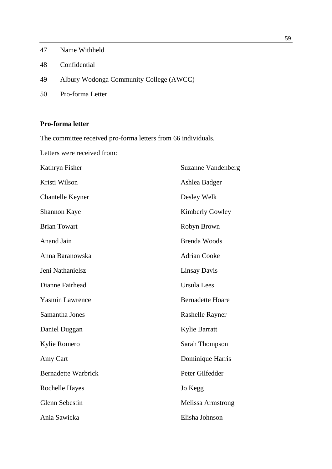- 47 Name Withheld
- 48 Confidential
- 49 Albury Wodonga Community College (AWCC)
- 50 Pro-forma Letter

## **Pro-forma letter**

The committee received pro-forma letters from 66 individuals.

Letters were received from:

| Kathryn Fisher             | <b>Suzanne Vandenberg</b> |
|----------------------------|---------------------------|
| Kristi Wilson              | Ashlea Badger             |
| <b>Chantelle Keyner</b>    | Desley Welk               |
| <b>Shannon Kaye</b>        | <b>Kimberly Gowley</b>    |
| <b>Brian Towart</b>        | Robyn Brown               |
| <b>Anand Jain</b>          | <b>Brenda Woods</b>       |
| Anna Baranowska            | <b>Adrian Cooke</b>       |
| Jeni Nathanielsz           | <b>Linsay Davis</b>       |
| Dianne Fairhead            | <b>Ursula Lees</b>        |
| <b>Yasmin Lawrence</b>     | <b>Bernadette Hoare</b>   |
| Samantha Jones             | Rashelle Rayner           |
| Daniel Duggan              | <b>Kylie Barratt</b>      |
| Kylie Romero               | Sarah Thompson            |
| Amy Cart                   | Dominique Harris          |
| <b>Bernadette Warbrick</b> | Peter Gilfedder           |
| <b>Rochelle Hayes</b>      | Jo Kegg                   |
| <b>Glenn Sebestin</b>      | <b>Melissa Armstrong</b>  |
| Ania Sawicka               | Elisha Johnson            |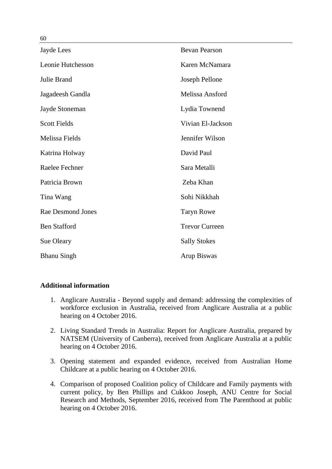| Jayde Lees               | <b>Bevan Pearson</b>  |
|--------------------------|-----------------------|
| Leonie Hutchesson        | Karen McNamara        |
| Julie Brand              | Joseph Pellone        |
| Jagadeesh Gandla         | Melissa Ansford       |
| Jayde Stoneman           | Lydia Townend         |
| <b>Scott Fields</b>      | Vivian El-Jackson     |
| <b>Melissa Fields</b>    | Jennifer Wilson       |
| Katrina Holway           | David Paul            |
| Raelee Fechner           | Sara Metalli          |
| Patricia Brown           | Zeba Khan             |
| Tina Wang                | Sohi Nikkhah          |
| <b>Rae Desmond Jones</b> | <b>Taryn Rowe</b>     |
| <b>Ben Stafford</b>      | <b>Trevor Curreen</b> |
| Sue Oleary               | <b>Sally Stokes</b>   |
| <b>Bhanu Singh</b>       | Arup Biswas           |

## **Additional information**

- 1. Anglicare Australia Beyond supply and demand: addressing the complexities of workforce exclusion in Australia, received from Anglicare Australia at a public hearing on 4 October 2016.
- 2. Living Standard Trends in Australia: Report for Anglicare Australia, prepared by NATSEM (University of Canberra), received from Anglicare Australia at a public hearing on 4 October 2016.
- 3. Opening statement and expanded evidence, received from Australian Home Childcare at a public hearing on 4 October 2016.
- 4. Comparison of proposed Coalition policy of Childcare and Family payments with current policy, by Ben Phillips and Cukkoo Joseph, ANU Centre for Social Research and Methods, September 2016, received from The Parenthood at public hearing on 4 October 2016.